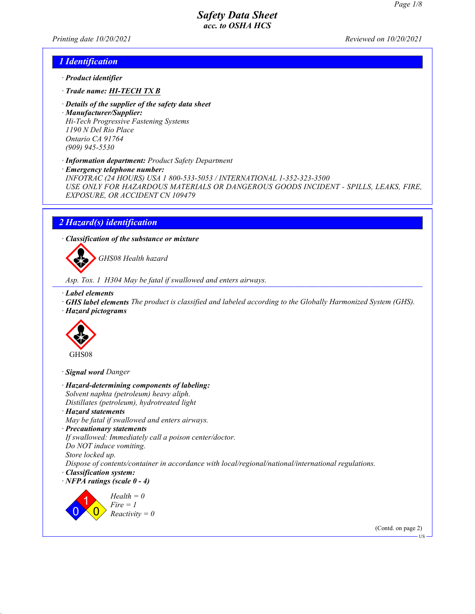Printing date 10/20/2021 Reviewed on 10/20/2021

#### 1 Identification

- · Product identifier
- · Trade name: HI-TECH TX B
- · Details of the supplier of the safety data sheet
- · Manufacturer/Supplier: Hi-Tech Progressive Fastening Systems 1190 N Del Rio Place Ontario CA 91764 (909) 945-5530
- · Information department: Product Safety Department
- · Emergency telephone number:

INFOTRAC (24 HOURS) USA 1 800-533-5053 / INTERNATIONAL 1-352-323-3500 USE ONLY FOR HAZARDOUS MATERIALS OR DANGEROUS GOODS INCIDENT - SPILLS, LEAKS, FIRE, EXPOSURE, OR ACCIDENT CN 109479

# 2 Hazard(s) identification

· Classification of the substance or mixture



GHS08 Health hazard

Asp. Tox. 1 H304 May be fatal if swallowed and enters airways.

- · Label elements
- · GHS label elements The product is classified and labeled according to the Globally Harmonized System (GHS).
- · Hazard pictograms



· Signal word Danger

· Hazard-determining components of labeling: Solvent naphta (petroleum) heavy aliph. Distillates (petroleum), hydrotreated light · Hazard statements May be fatal if swallowed and enters airways. · Precautionary statements If swallowed: Immediately call a poison center/doctor. Do NOT induce vomiting. Store locked up. Dispose of contents/container in accordance with local/regional/national/international regulations. · Classification system:  $\cdot$  NFPA ratings (scale  $0 - 4$ ) 0 1  $\overline{\mathbf{0}}$  $Health = 0$  $Fire = 1$  $Reactivity = 0$ (Contd. on page 2)

US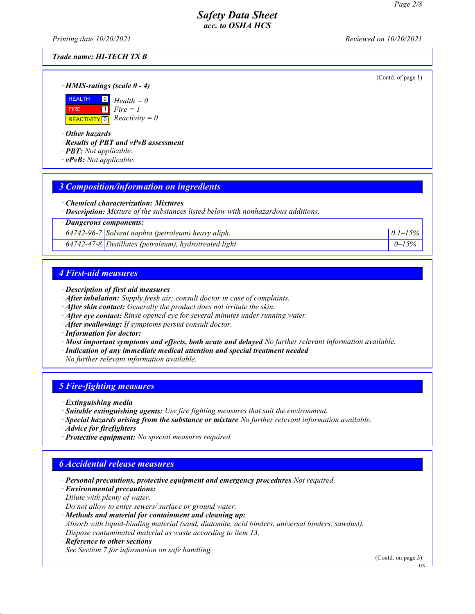Printing date 10/20/2021 Reviewed on 10/20/2021

#### Trade name: HI-TECH TX B

(Contd. of page 1)

· HMIS-ratings (scale 0 - 4)



· Other hazards

· Results of PBT and vPvB assessment

- · PBT: Not applicable.
- $\cdot$  **vPvB:** Not applicable.

## 3 Composition/information on ingredients

· Chemical characterization: Mixtures

· Description: Mixture of the substances listed below with nonhazardous additions.

· Dangerous components:

 $64742-96-7$  Solvent naphta (petroleum) heavy aliph.  $0.1-15\%$ 

 $64742 - 47 - 8$  Distillates (petroleum), hydrotreated light  $0 - 15\%$ 

## 4 First-aid measures

- · Description of first aid measures
- · After inhalation: Supply fresh air; consult doctor in case of complaints.
- · After skin contact: Generally the product does not irritate the skin.
- · After eye contact: Rinse opened eye for several minutes under running water.
- · After swallowing: If symptoms persist consult doctor.
- · Information for doctor:
- · Most important symptoms and effects, both acute and delayed No further relevant information available.
- · Indication of any immediate medical attention and special treatment needed
- No further relevant information available.

## 5 Fire-fighting measures

- · Extinguishing media
- · Suitable extinguishing agents: Use fire fighting measures that suit the environment.
- · Special hazards arising from the substance or mixture No further relevant information available.
- · Advice for firefighters
- · Protective equipment: No special measures required.

## 6 Accidental release measures

- · Personal precautions, protective equipment and emergency procedures Not required.
- · Environmental precautions:
- Dilute with plenty of water.

Do not allow to enter sewers/ surface or ground water.

· Methods and material for containment and cleaning up:

Absorb with liquid-binding material (sand, diatomite, acid binders, universal binders, sawdust). Dispose contaminated material as waste according to item 13.

· Reference to other sections See Section 7 for information on safe handling.

(Contd. on page 3)

US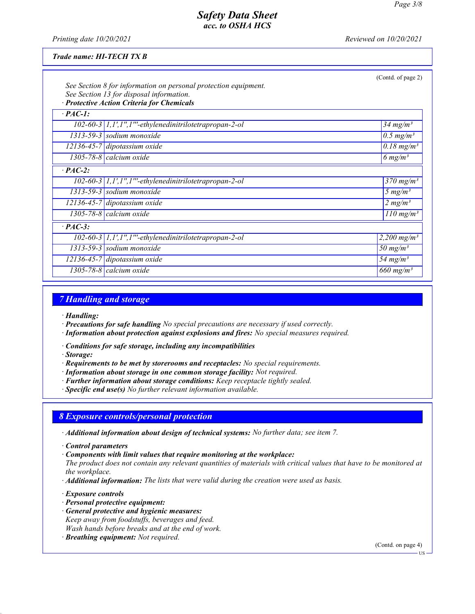Printing date  $10/20/2021$  Reviewed on  $10/20/2021$ 

#### Trade name: HI-TECH TX B

|                | See Section 8 for information on personal protection equipment.<br>See Section 13 for disposal information.<br>· Protective Action Criteria for Chemicals | (Contd. of page 2)                  |  |  |  |
|----------------|-----------------------------------------------------------------------------------------------------------------------------------------------------------|-------------------------------------|--|--|--|
| $\cdot$ PAC-1: |                                                                                                                                                           |                                     |  |  |  |
|                | 102-60-3 1,1',1",1"'-ethylenedinitrilotetrapropan-2-ol                                                                                                    | $34$ mg/m <sup>3</sup>              |  |  |  |
|                | $1313-59-3$ sodium monoxide                                                                                                                               | $0.5$ mg/m <sup>3</sup>             |  |  |  |
|                | $12136 - 45 - 7$ dipotassium oxide                                                                                                                        | $\overline{0.18}$ mg/m <sup>3</sup> |  |  |  |
|                | 1305-78-8 calcium oxide                                                                                                                                   | 6 $mg/m^3$                          |  |  |  |
| $\cdot$ PAC-2: |                                                                                                                                                           |                                     |  |  |  |
|                | $102-60-3$   1,1',1",1"'-ethylenedinitrilotetrapropan-2-ol                                                                                                | $370$ mg/m <sup>3</sup>             |  |  |  |
|                | $1313-59-3$ sodium monoxide                                                                                                                               | 5 $mg/m^3$                          |  |  |  |
|                | $12136 - 45 - 7$ dipotassium oxide                                                                                                                        | 2 mg/m <sup>3</sup>                 |  |  |  |
|                | 1305-78-8 calcium oxide                                                                                                                                   | $110$ mg/m <sup>3</sup>             |  |  |  |
| $\cdot$ PAC-3: |                                                                                                                                                           |                                     |  |  |  |
|                | 102-60-3 1,1',1",1"'-ethylenedinitrilotetrapropan-2-ol                                                                                                    | 2,200 mg/m <sup>3</sup>             |  |  |  |
|                | $1313-59-3$ sodium monoxide                                                                                                                               | 50 mg/m <sup>3</sup>                |  |  |  |
|                | $12136 - 45 - 7$ dipotassium oxide                                                                                                                        | 54 mg/m <sup>3</sup>                |  |  |  |
|                | 1305-78-8 $cal$ icalcium oxide                                                                                                                            | 660 mg/m <sup>3</sup>               |  |  |  |

#### 7 Handling and storage

- · Handling:
- · Precautions for safe handling No special precautions are necessary if used correctly.
- · Information about protection against explosions and fires: No special measures required.
- · Conditions for safe storage, including any incompatibilities
- · Storage:
- · Requirements to be met by storerooms and receptacles: No special requirements.
- · Information about storage in one common storage facility: Not required.
- · Further information about storage conditions: Keep receptacle tightly sealed.
- · Specific end use(s) No further relevant information available.

## 8 Exposure controls/personal protection

- · Additional information about design of technical systems: No further data; see item 7.
- · Control parameters
- · Components with limit values that require monitoring at the workplace:

The product does not contain any relevant quantities of materials with critical values that have to be monitored at the workplace.

- · Additional information: The lists that were valid during the creation were used as basis.
- · Exposure controls
- · Personal protective equipment:
- · General protective and hygienic measures:
- Keep away from foodstuffs, beverages and feed. Wash hands before breaks and at the end of work.
- · Breathing equipment: Not required.

(Contd. on page 4)

US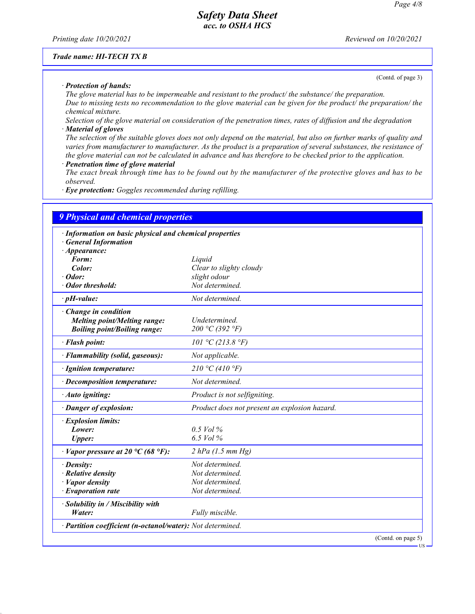Printing date  $10/20/2021$  Reviewed on  $10/20/2021$ 

#### Trade name: HI-TECH TX B

(Contd. of page 3)

· Protection of hands: The glove material has to be impermeable and resistant to the product/ the substance/ the preparation. Due to missing tests no recommendation to the glove material can be given for the product/ the preparation/ the chemical mixture.

Selection of the glove material on consideration of the penetration times, rates of diffusion and the degradation · Material of gloves

The selection of the suitable gloves does not only depend on the material, but also on further marks of quality and varies from manufacturer to manufacturer. As the product is a preparation of several substances, the resistance of the glove material can not be calculated in advance and has therefore to be checked prior to the application.

Penetration time of glove material

The exact break through time has to be found out by the manufacturer of the protective gloves and has to be observed.

· Eye protection: Goggles recommended during refilling.

| · Information on basic physical and chemical properties |                                               |
|---------------------------------------------------------|-----------------------------------------------|
| <b>General Information</b>                              |                                               |
| $\cdot$ Appearance:                                     |                                               |
| Form:                                                   | Liquid                                        |
| Color:                                                  | Clear to slighty cloudy                       |
| $\cdot$ Odor:                                           | slight odour                                  |
| · Odor threshold:                                       | Not determined.                               |
| $\cdot$ pH-value:                                       | Not determined.                               |
| · Change in condition                                   |                                               |
| <b>Melting point/Melting range:</b>                     | Undetermined.                                 |
| <b>Boiling point/Boiling range:</b>                     | 200 °C (392 °F)                               |
| · Flash point:                                          | 101 °C (213.8 °F)                             |
| · Flammability (solid, gaseous):                        | Not applicable.                               |
| · Ignition temperature:                                 | 210 °C (410 °F)                               |
| · Decomposition temperature:                            | Not determined.                               |
| · Auto igniting:                                        | Product is not selfigniting.                  |
| · Danger of explosion:                                  | Product does not present an explosion hazard. |
| · Explosion limits:                                     |                                               |
| Lower:                                                  | $0.5$ Vol %                                   |
| <b>Upper:</b>                                           | 6.5 Vol %                                     |
| $\cdot$ Vapor pressure at 20 °C (68 °F):                | $2 hPa$ (1.5 mm Hg)                           |
| $\cdot$ Density:                                        | Not determined.                               |
| $\cdot$ Relative density                                | Not determined.                               |
| $\cdot$ <i>Vapor density</i>                            | Not determined.                               |
| $\cdot$ Evaporation rate                                | Not determined.                               |
| $\cdot$ Solubility in / Miscibility with                |                                               |
| Water:                                                  | Fully miscible.                               |

(Contd. on pag

US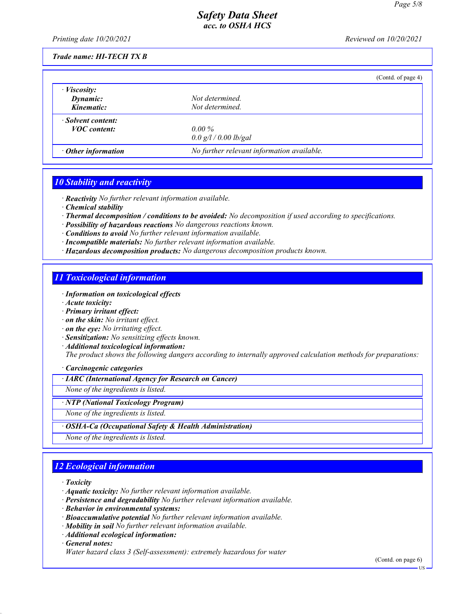Printing date 10/20/2021 Reviewed on 10/20/2021

#### Trade name: HI-TECH TX B

|                           |                                            | (Contd. of page 4) |
|---------------------------|--------------------------------------------|--------------------|
| $\cdot$ <i>Viscosity:</i> |                                            |                    |
| Dynamic:                  | Not determined.                            |                    |
| Kinematic:                | Not determined.                            |                    |
| · Solvent content:        |                                            |                    |
| <b>VOC</b> content:       | $0.00\%$                                   |                    |
|                           | 0.0 g/l / 0.00 lb/gal                      |                    |
| $\cdot$ Other information | No further relevant information available. |                    |

# 10 Stability and reactivity

· Reactivity No further relevant information available.

- · Chemical stability
- · Thermal decomposition / conditions to be avoided: No decomposition if used according to specifications.
- · Possibility of hazardous reactions No dangerous reactions known.
- · Conditions to avoid No further relevant information available.
- · Incompatible materials: No further relevant information available.
- · Hazardous decomposition products: No dangerous decomposition products known.

# 11 Toxicological information

- · Information on toxicological effects
- · Acute toxicity:
- · Primary irritant effect:
- · on the skin: No irritant effect.
- · on the eye: No irritating effect.
- · Sensitization: No sensitizing effects known.
- · Additional toxicological information:

The product shows the following dangers according to internally approved calculation methods for preparations:

#### · Carcinogenic categories

· IARC (International Agency for Research on Cancer)

None of the ingredients is listed.

#### · NTP (National Toxicology Program)

None of the ingredients is listed.

· OSHA-Ca (Occupational Safety & Health Administration)

None of the ingredients is listed.

# 12 Ecological information

· Toxicity

- · Aquatic toxicity: No further relevant information available.
- · Persistence and degradability No further relevant information available.
- · Behavior in environmental systems:
- · Bioaccumulative potential No further relevant information available.
- · Mobility in soil No further relevant information available.
- · Additional ecological information:

· General notes:

(Contd. on page 6)

Water hazard class 3 (Self-assessment): extremely hazardous for water

US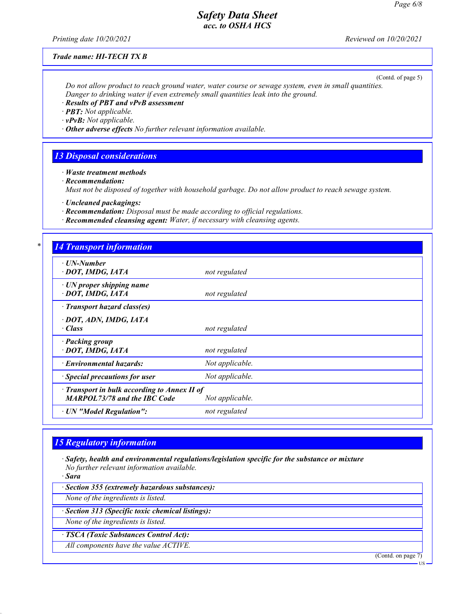Printing date 10/20/2021 Reviewed on 10/20/2021

#### Trade name: HI-TECH TX B

(Contd. of page 5)

Do not allow product to reach ground water, water course or sewage system, even in small quantities. Danger to drinking water if even extremely small quantities leak into the ground.

· Results of PBT and vPvB assessment

· PBT: Not applicable.

 $\cdot$  vPvB: Not applicable.

 $\cdot$  Other adverse effects No further relevant information available.

## 13 Disposal considerations

· Waste treatment methods

· Recommendation:

Must not be disposed of together with household garbage. Do not allow product to reach sewage system.

· Uncleaned packagings:

· Recommendation: Disposal must be made according to official regulations.

· Recommended cleansing agent: Water, if necessary with cleansing agents.

#### **4 Transport information**

| <u>1. www.pole.ugo.  www.</u>                                                             |                 |
|-------------------------------------------------------------------------------------------|-----------------|
| $\cdot$ UN-Number<br>· DOT, IMDG, IATA                                                    | not regulated   |
| $\cdot$ UN proper shipping name<br>· DOT, IMDG, IATA                                      | not regulated   |
| $\cdot$ Transport hazard class(es)                                                        |                 |
| · DOT, ADN, IMDG, IATA<br>$\cdot$ Class                                                   | not regulated   |
| · Packing group<br>· DOT, IMDG, IATA                                                      | not regulated   |
| · Environmental hazards:                                                                  | Not applicable. |
| $\cdot$ Special precautions for user                                                      | Not applicable. |
| $\cdot$ Transport in bulk according to Annex II of<br><b>MARPOL73/78 and the IBC Code</b> | Not applicable. |
| · UN "Model Regulation":                                                                  | not regulated   |
|                                                                                           |                 |

## 15 Regulatory information

· Safety, health and environmental regulations/legislation specific for the substance or mixture No further relevant information available.

· Sara

· Section 355 (extremely hazardous substances):

None of the ingredients is listed.

· Section 313 (Specific toxic chemical listings):

None of the ingredients is listed.

· TSCA (Toxic Substances Control Act):

All components have the value ACTIVE.

(Contd. on page 7)

**US**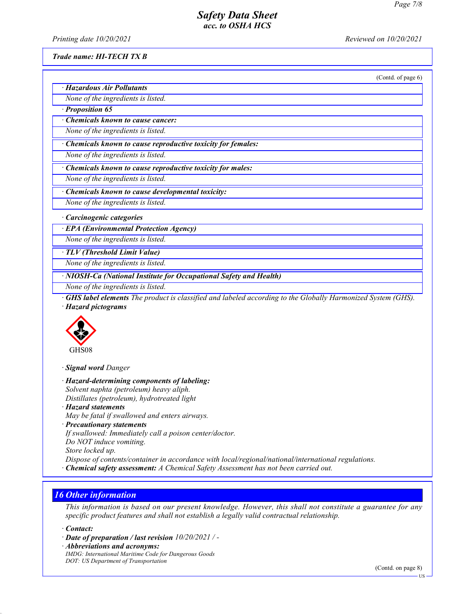Printing date 10/20/2021 Reviewed on 10/20/2021

#### Trade name: HI-TECH TX B

(Contd. of page 6)

|  |  | · Hazardous Air Pollutants |  |
|--|--|----------------------------|--|
|  |  |                            |  |

None of the ingredients is listed. · Proposition 65

· Chemicals known to cause cancer:

None of the ingredients is listed.

· Chemicals known to cause reproductive toxicity for females:

None of the ingredients is listed.

· Chemicals known to cause reproductive toxicity for males:

None of the ingredients is listed.

· Chemicals known to cause developmental toxicity:

None of the ingredients is listed.

· Carcinogenic categories

· EPA (Environmental Protection Agency)

None of the ingredients is listed.

· TLV (Threshold Limit Value)

None of the ingredients is listed.

· NIOSH-Ca (National Institute for Occupational Safety and Health)

None of the ingredients is listed.

· GHS label elements The product is classified and labeled according to the Globally Harmonized System (GHS). · Hazard pictograms



· Signal word Danger

· Hazard-determining components of labeling: Solvent naphta (petroleum) heavy aliph. Distillates (petroleum), hydrotreated light

· Hazard statements

May be fatal if swallowed and enters airways.

· Precautionary statements

If swallowed: Immediately call a poison center/doctor.

Do NOT induce vomiting.

Store locked up.

Dispose of contents/container in accordance with local/regional/national/international regulations.

· Chemical safety assessment: A Chemical Safety Assessment has not been carried out.

# 16 Other information

This information is based on our present knowledge. However, this shall not constitute a guarantee for any specific product features and shall not establish a legally valid contractual relationship.

· Contact:

· Date of preparation / last revision 10/20/2021 / -

· Abbreviations and acronyms:

IMDG: International Maritime Code for Dangerous Goods DOT: US Department of Transportation

(Contd. on page 8)